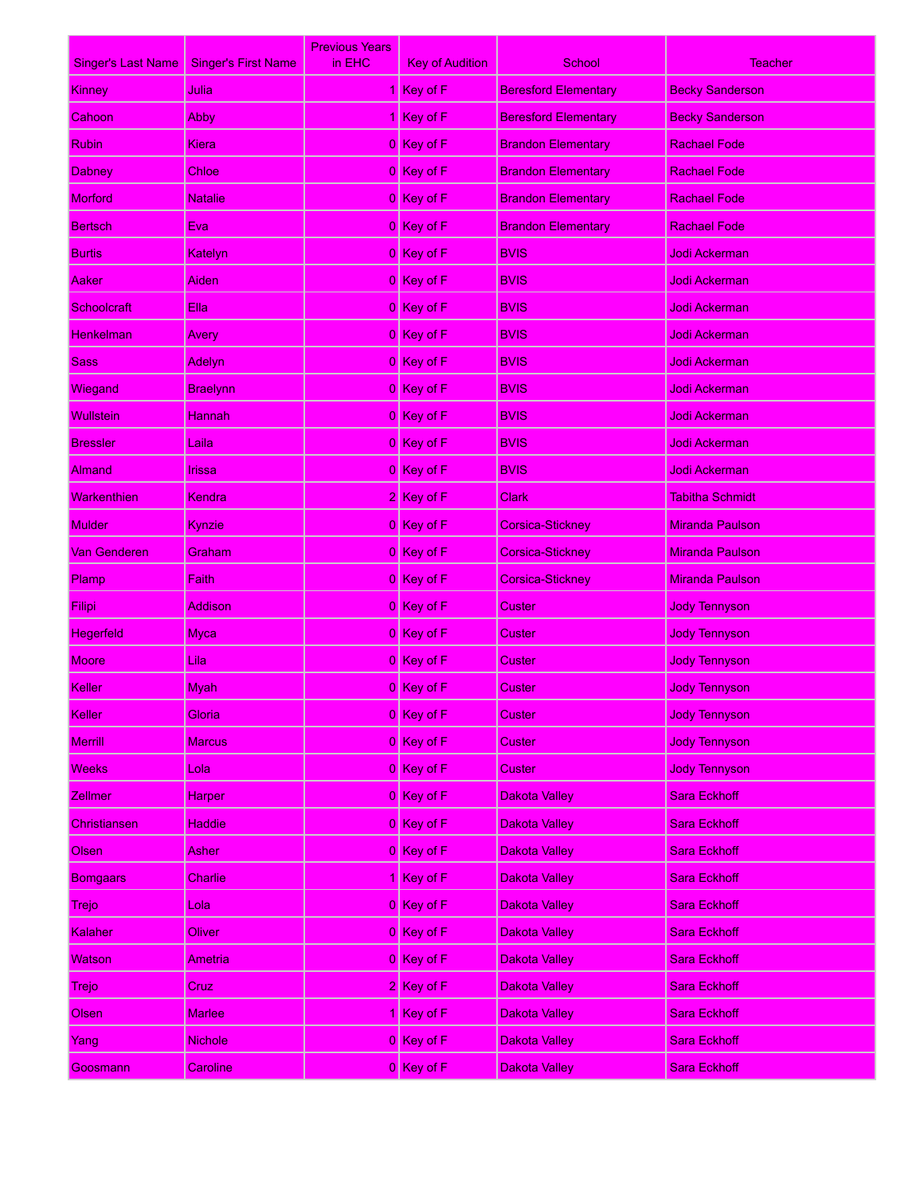| <b>Singer's Last Name</b> | <b>Singer's First Name</b> | <b>Previous Years</b><br>in EHC | <b>Key of Audition</b> | School                      | Teacher                |
|---------------------------|----------------------------|---------------------------------|------------------------|-----------------------------|------------------------|
| <b>Kinney</b>             | Julia                      |                                 | Key of F               | <b>Beresford Elementary</b> | <b>Becky Sanderson</b> |
| Cahoon                    | Abby                       |                                 | Key of F               | <b>Beresford Elementary</b> | <b>Becky Sanderson</b> |
| <b>Rubin</b>              | Kiera                      |                                 | $0$ Key of F           | <b>Brandon Elementary</b>   | <b>Rachael Fode</b>    |
| <b>Dabney</b>             | Chloe                      |                                 | 0 Key of F             | <b>Brandon Elementary</b>   | <b>Rachael Fode</b>    |
| <b>Morford</b>            | <b>Natalie</b>             |                                 | $0$ Key of F           | <b>Brandon Elementary</b>   | <b>Rachael Fode</b>    |
| <b>Bertsch</b>            | Eva                        |                                 | 0 Key of F             | <b>Brandon Elementary</b>   | <b>Rachael Fode</b>    |
| <b>Burtis</b>             | Katelyn                    |                                 | $0$ Key of F           | <b>BVIS</b>                 | Jodi Ackerman          |
| Aaker                     | Aiden                      |                                 | 0 Key of F             | <b>BVIS</b>                 | Jodi Ackerman          |
| Schoolcraft               | Ella                       |                                 | $0$ Key of F           | <b>BVIS</b>                 | Jodi Ackerman          |
| <u>Henkelman</u>          | Avery                      |                                 | 0 Key of F             | <b>BVIS</b>                 | <u>Jodi Ackerman</u>   |
| <b>Sass</b>               | Adelyn                     |                                 | $0$ Key of F           | <b>BVIS</b>                 | Jodi Ackerman          |
| Wiegand                   | <b>Braelynn</b>            |                                 | 0 Key of F             | <b>BVIS</b>                 | <u>Jodi Ackerman</u>   |
| <b>Wullstein</b>          | <b>Hannah</b>              |                                 | $0$ Key of F           | <b>BVIS</b>                 | Jodi Ackerman          |
| <b>Bressler</b>           | Laila                      |                                 | 0 Key of F             | <b>BVIS</b>                 | <u>Jodi Ackerman</u>   |
| Almand                    | Irissa                     |                                 | $0$ Key of F           | <b>BVIS</b>                 | Jodi Ackerman          |
| Warkenthien               | <b>Kendra</b>              |                                 | $2$ Key of F           | Clark                       | Tabitha Schmidt        |
| Mulder                    | Kynzie                     |                                 | $0$ Key of F           | <b>Corsica-Stickney</b>     | <b>Miranda Paulson</b> |
| Van Genderen              | Graham                     |                                 | 0 Key of F             | <b>Corsica-Stickney</b>     | <b>Miranda Paulson</b> |
| Plamp                     | Faith                      |                                 | 0 Key of F             | Corsica-Stickney            | <b>Miranda Paulson</b> |
| Filipi                    | Addison                    |                                 | 0 Key of F             | Custer                      | <b>Jody Tennyson</b>   |
| <b>Hegerfeld</b>          | <b>Myca</b>                |                                 | $0$ Key of F           | Custer                      | <b>Jody Tennyson</b>   |
| <b>Moore</b>              | Lila                       |                                 | 0 Key of F             | Custer                      | <b>Jody Tennyson</b>   |
| Keller                    | Myah                       |                                 | 0 Key of F             | Custer                      | <b>Jody Tennyson</b>   |
| Keller                    | Gloria                     |                                 | 0 Key of F             | Custer                      | <b>Jody Tennyson</b>   |
| <b>Merrill</b>            | <b>Marcus</b>              |                                 | $0$ Key of F           | Custer                      | <b>Jody Tennyson</b>   |
| <b>Weeks</b>              | Lola                       |                                 | $0$ Key of F           | Custer                      | <b>Jody Tennyson</b>   |
| <b>Zellmer</b>            | <b>Harper</b>              |                                 | $0$ Key of F           | <b>Dakota Valley</b>        | Sara Eckhoff           |
| Christiansen              | <b>Haddie</b>              |                                 | $0$ Key of F           | <b>Dakota Valley</b>        | Sara Eckhoff           |
| Olsen                     | Asher                      |                                 | $0$ Key of F           | <b>Dakota Valley</b>        | Sara Eckhoff           |
| <b>Bomgaars</b>           | Charlie                    |                                 | 1 Key of F             | <b>Dakota Valley</b>        | Sara Eckhoff           |
| Trejo                     | Lola                       |                                 | $0$ Key of F           | <b>Dakota Valley</b>        | <b>Sara Eckhoff</b>    |
| Kalaher                   | Oliver                     |                                 | $0$ Key of F           | <b>Dakota Valley</b>        | Sara Eckhoff           |
| Watson                    | Ametrial                   |                                 | $0$ Key of F           | <b>Dakota Valley</b>        | <b>Sara Eckhoff</b>    |
| Trejo                     | Cruz                       |                                 | $2$ Key of F           | <b>Dakota Valley</b>        | Sara Eckhoff           |
| Olsen                     | <b>Marlee</b>              |                                 | $Key$ of F             | <b>Dakota Valley</b>        | <b>Sara Eckhoff</b>    |
| Yang                      | <b>Nichole</b>             |                                 | $0$ Key of F           | <b>Dakota Valley</b>        | Sara Eckhoff           |
| Goosmann                  | Caroline                   |                                 | 0 Key of F             | <b>Dakota Valley</b>        | <b>Sara Eckhoff</b>    |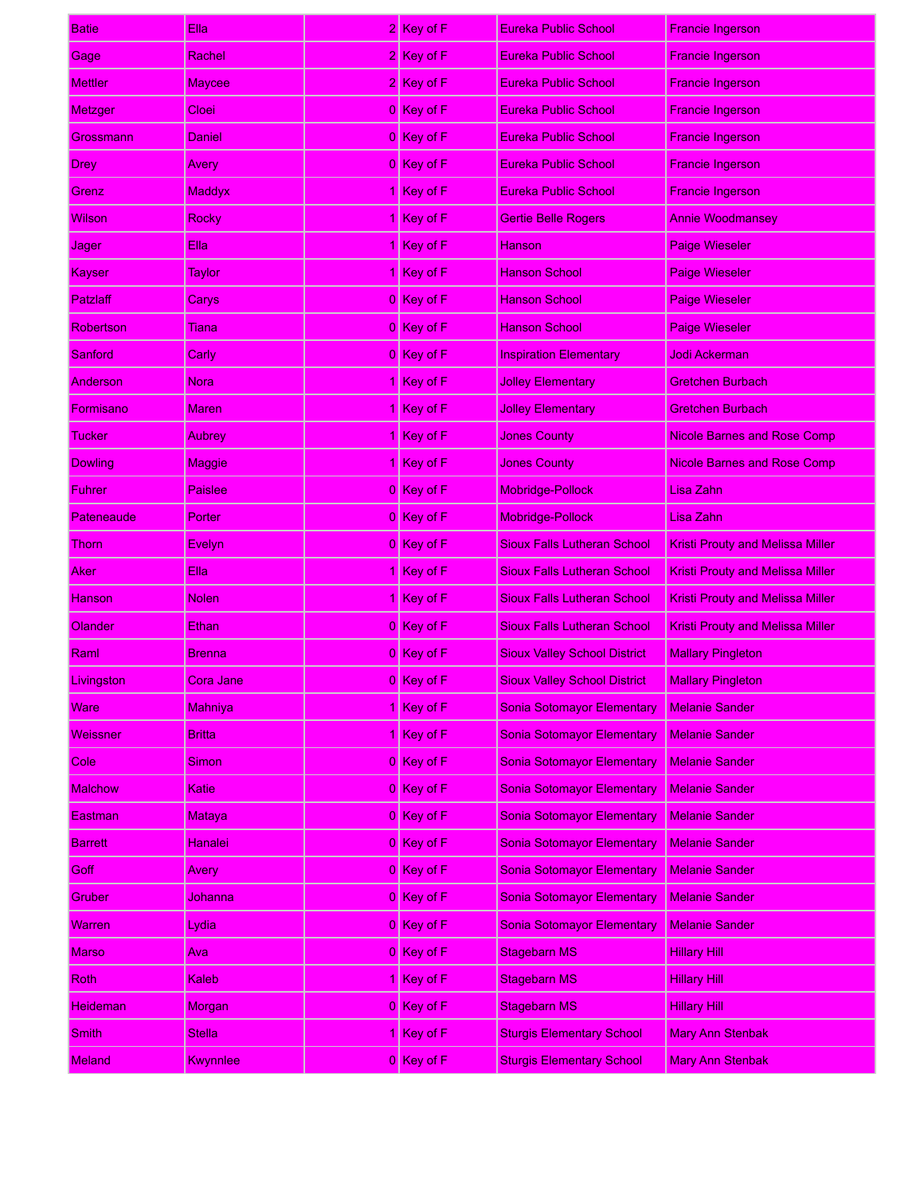| Batie           | Ella,           | 2 Key of F                    | Eureka Public School                | <b>Francie Ingerson</b>                 |
|-----------------|-----------------|-------------------------------|-------------------------------------|-----------------------------------------|
| Gage            | Rachel          | 2 Key of F                    | <b>Eureka Public School</b>         | <b>Francie Ingerson</b>                 |
| <b>Mettler</b>  | <b>Maycee</b>   | 2 Key of F                    | Eureka Public School                | <b>Francie Ingerson</b>                 |
| Metzger         | Cloei           | 0 Key of F                    | <b>Eureka Public School</b>         | <b>Francie Ingerson</b>                 |
| Grossmann       | Daniel          | 0 Key of F                    | Eureka Public School                | <b>Francie Ingerson</b>                 |
| Drey            | Avery           | 0 Key of F                    | <b>Eureka Public School</b>         | <b>Francie Ingerson</b>                 |
| Grenz           | <b>Maddyx</b>   | 1 Key of F                    | Eureka Public School                | <b>Francie Ingerson</b>                 |
| Wilson          | Rocky           | 1 Key of F                    | <b>Gertie Belle Rogers</b>          | <b>Annie Woodmansey</b>                 |
| Jager           | Ella            | $\sqrt{\frac{1}{2}}$ Key of F | Hanson                              | <b>Paige Wieseler</b>                   |
| Kayser          | <b>Taylor</b>   | $\sqrt{\frac{1}{1}}$ Key of F | <b>Hanson School</b>                | <b>Paige Wieseler</b>                   |
| Patzlaff        | Carys           | 0 Key of F                    | <b>Hanson School</b>                | <b>Paige Wieseler</b>                   |
| Robertson       | Tiana           | 0 Key of F                    | <b>Hanson School</b>                | <b>Paige Wieseler</b>                   |
| Sanford         | Carly           | 0 Key of F                    | <b>Inspiration Elementary</b>       | Jodi Ackerman                           |
| Anderson        | <b>Nora</b>     | 1 Key of F                    | <b>Jolley Elementary</b>            | <b>Gretchen Burbach</b>                 |
| Formisano       | <b>Maren</b>    | $\sqrt{\frac{1}{2}}$ Key of F | <b>Jolley Elementary</b>            | <b>Gretchen Burbach</b>                 |
| Tucker          | Aubrey          | 1 Key of F                    | <b>Jones County</b>                 | Nicole Barnes and Rose Comp             |
| <b>Dowling</b>  | Maggie          | 1 Key of F                    | <b>Jones County</b>                 | <b>Nicole Barnes and Rose Comp</b>      |
| Fuhrer          | <b>Paislee</b>  | 0 Key of F                    | Mobridge-Pollock                    | Lisa Zahn                               |
| Pateneaude      | Porter          | 0 Key of F                    | Mobridge-Pollock                    | Lisa Zahn                               |
| Thorn           | <b>Evelyn</b>   | 0 Key of F                    | <b>Sioux Falls Lutheran School</b>  | <b>Kristi Prouty and Melissa Miller</b> |
| Aker            | Ella            | 1 Key of F                    | <b>Sioux Falls Lutheran School</b>  | <b>Kristi Prouty and Melissa Miller</b> |
| Hanson          | <b>Nolen</b>    | 1 Key of F                    | <b>Sioux Falls Lutheran School</b>  | <b>Kristi Prouty and Melissa Miller</b> |
| Olander         | Ethan           | 0 Key of F                    | <b>Sioux Falls Lutheran School</b>  | <b>Kristi Prouty and Melissa Miller</b> |
| Raml            | <b>Brenna</b>   | 0 Key of F                    | <b>Sioux Valley School District</b> | <b>Mallary Pingleton</b>                |
| Livingston      | Cora Jane       | 0 Key of F                    | <b>Sioux Valley School District</b> | <b>Mallary Pingleton</b>                |
| Ware            | Mahniya         | 1 Key of F                    | <b>Sonia Sotomayor Elementary</b>   | <b>Melanie Sander</b>                   |
| Weissner        | <b>Britta</b>   | 1 Key of F                    | <b>Sonia Sotomayor Elementary</b>   | <b>Melanie Sander</b>                   |
| Cole            | Simon           | 0 Key of F                    | <b>Sonia Sotomayor Elementary</b>   | <b>Melanie Sander</b>                   |
| <b>Malchow</b>  | Katie           | 0 Key of F                    | <b>Sonia Sotomayor Elementary</b>   | <b>Melanie Sander</b>                   |
| Eastman         | Mataya          | $0$ Key of F                  | <b>Sonia Sotomayor Elementary</b>   | <b>Melanie Sander</b>                   |
| <b>Barrett</b>  | Hanalei         | 0 Key of F                    | <b>Sonia Sotomayor Elementary</b>   | <b>Melanie Sander</b>                   |
| Goff            | Avery           | $0$ Key of F                  | <b>Sonia Sotomayor Elementary</b>   | <b>Melanie Sander</b>                   |
| Gruber          | Johanna         | 0 Key of F                    | <b>Sonia Sotomayor Elementary</b>   | <b>Melanie Sander</b>                   |
| Warren          | Lydia           | $0$ Key of F                  | <b>Sonia Sotomayor Elementary</b>   | <b>Melanie Sander</b>                   |
| <b>Marso</b>    | Aval            | 0 Key of F                    | <b>Stagebarn MS</b>                 | <b>Hillary Hill</b>                     |
| Roth            | Kaleb           | 1 Key of F                    | <b>Stagebarn MS</b>                 | <b>Hillary Hill</b>                     |
| <b>Heideman</b> | Morgan          | 0 Key of F                    | <b>Stagebarn MS</b>                 | <b>Hillary Hill</b>                     |
| <b>Smith</b>    | Stella          | 1 Key of F                    | <b>Sturgis Elementary School</b>    | <b>Mary Ann Stenbak</b>                 |
| <b>Meland</b>   | <b>Kwynnlee</b> | 0 Key of F                    | <b>Sturgis Elementary School</b>    | <b>Mary Ann Stenbak</b>                 |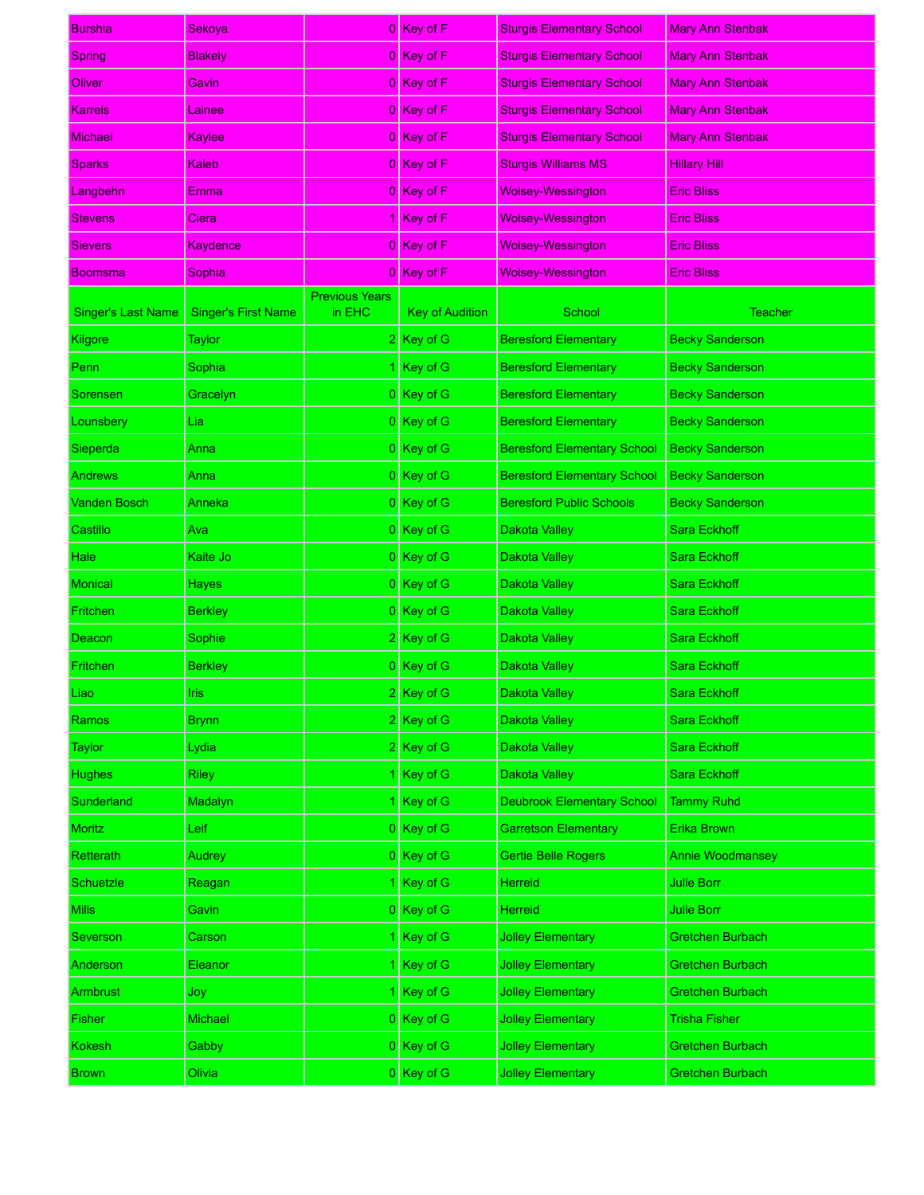| <b>Burshia</b>            | Sekoya                     |                                 | 0 Key of F             | <b>Sturgis Elementary School</b>   | <b>Mary Ann Stenbak</b> |
|---------------------------|----------------------------|---------------------------------|------------------------|------------------------------------|-------------------------|
| <b>Spring</b>             | <b>Blakely</b>             |                                 | 0 Key of F             | <b>Sturgis Elementary School</b>   | <b>Mary Ann Stenbak</b> |
| Oliver                    | Gavin                      |                                 | 0 Key of F             | <b>Sturgis Elementary School</b>   | <b>Mary Ann Stenbak</b> |
| <b>Karrels</b>            | Lainee                     |                                 | 0 Key of F             | <b>Sturgis Elementary School</b>   | <b>Mary Ann Stenbak</b> |
| <b>Michael</b>            | Kaylee                     |                                 | 0 Key of F             | <b>Sturgis Elementary School</b>   | <b>Mary Ann Stenbak</b> |
| <b>Sparks</b>             | Kaleb                      |                                 | 0 Key of F             | <b>Sturgis Williams MS</b>         | <b>Hillary Hill</b>     |
| Langbehn                  | Emma                       |                                 | 0 Key of F             | <b>Wolsey-Wessington</b>           | <b>Eric Bliss</b>       |
| <b>Stevens</b>            | Ciera                      |                                 | $Key$ of F             | <b>Wolsey-Wessington</b>           | <b>Eric Bliss</b>       |
| <b>Sievers</b>            | Kaydence                   |                                 | 0 Key of F             | <b>Wolsey-Wessington</b>           | <b>Eric Bliss</b>       |
| <b>Boomsma</b>            | Sophia                     |                                 | 0 Key of F             | <b>Wolsey-Wessington</b>           | <b>Eric Bliss</b>       |
| <b>Singer's Last Name</b> | <b>Singer's First Name</b> | <b>Previous Years</b><br>in EHC | <b>Key of Audition</b> | School                             | <b>Teacher</b>          |
| Kilgore                   | <b>Taylor</b>              |                                 | 2 Key of G             | <b>Beresford Elementary</b>        | <b>Becky Sanderson</b>  |
| Penn                      | Sophia                     |                                 | Key of G               | <b>Beresford Elementary</b>        | <b>Becky Sanderson</b>  |
| Sorensen                  | Gracelyn                   |                                 | 0 Key of G             | <b>Beresford Elementary</b>        | <b>Becky Sanderson</b>  |
| Lounsbery                 | Lia                        |                                 | $0$ Key of G           | <b>Beresford Elementary</b>        | <b>Becky Sanderson</b>  |
| Sieperda                  | Anna                       |                                 | 0 Key of G             | <b>Beresford Elementary School</b> | <b>Becky Sanderson</b>  |
| <b>Andrews</b>            | Anna                       |                                 | 0 Key of G             | <b>Beresford Elementary School</b> | <b>Becky Sanderson</b>  |
| <b>Vanden Bosch</b>       | Anneka                     |                                 | 0 Key of G             | <b>Beresford Public Schools</b>    | <b>Becky Sanderson</b>  |
| Castillo                  | Ava                        |                                 | $0$ Key of G           | Dakota Valley                      | <b>Sara Eckhoff</b>     |
| Hale                      | Kaite Jo                   |                                 | 0 Key of G             | Dakota Valley                      | <b>Sara Eckhoff</b>     |
| <b>Monical</b>            | <b>Hayes</b>               |                                 | $0$ Key of G           | Dakota Valley                      | Sara Eckhoff            |
| Fritchen                  | <b>Berkley</b>             |                                 | 0 Key of G             | Dakota Valley                      | Sara Eckhoff            |
| Deacon                    | Sophie                     |                                 | $2$ Key of G           | Dakota Valley                      | <b>Sara Eckhoff</b>     |
| Fritchen                  | <b>Berkley</b>             |                                 | 0 Key of G             | Dakota Valley                      | <b>Sara Eckhoff</b>     |
| Liao :                    | Iris:                      |                                 | 2 Kev of G             | Dakota Valley                      | Sara Eckhoff            |
| Ramos                     | <b>Brynn</b>               |                                 | $2$ Key of G           | Dakota Valley                      | Sara Eckhoff            |
| Taylor                    | Lydia                      |                                 | 2 Key of G             | Dakota Valley                      | Sara Eckhoff            |
| <b>Hughes</b>             | <b>Riley</b>               |                                 | Key of G               | Dakota Valley                      | Sara Eckhoff            |
| Sunderland                | Madalyn                    |                                 | Key of G               | <b>Deubrook Elementary School</b>  | <b>Tammy Ruhd</b>       |
| <b>Moritz</b>             | Leif                       |                                 | 0 Key of G             | <b>Garretson Elementary</b>        | Erika Brown             |
| Retterath                 | Audrey                     |                                 | $0$ Key of G           | <b>Gertie Belle Rogers</b>         | <b>Annie Woodmansey</b> |
| <b>Schuetzle</b>          | Reagan                     |                                 | Key of G               | Herreid                            | <b>Julie Borr</b>       |
| Mills                     | Gavin                      |                                 | $0$ Key of G           | Herreid                            | Julie Borr              |
| Severson                  | Carson                     |                                 | Key of G               | <b>Jolley Elementary</b>           | <b>Gretchen Burbach</b> |
| Anderson                  | Eleanor                    |                                 | Key of G               | <b>Jolley Elementary</b>           | Gretchen Burbach        |
| Armbrust                  | Joy                        |                                 | Key of G               | <b>Jolley Elementary</b>           | Gretchen Burbach        |
| Fisher                    | Michael                    |                                 | $0$ Key of G           | <b>Jolley Elementary</b>           | <b>Trisha Fisher</b>    |
| <b>Kokesh</b>             | Gabby                      |                                 | 0 Key of G             | <b>Jolley Elementary</b>           | <b>Gretchen Burbach</b> |
| <b>Brown</b>              | Olivia                     |                                 | $0$ Key of G           | <b>Jolley Elementary</b>           | Gretchen Burbach        |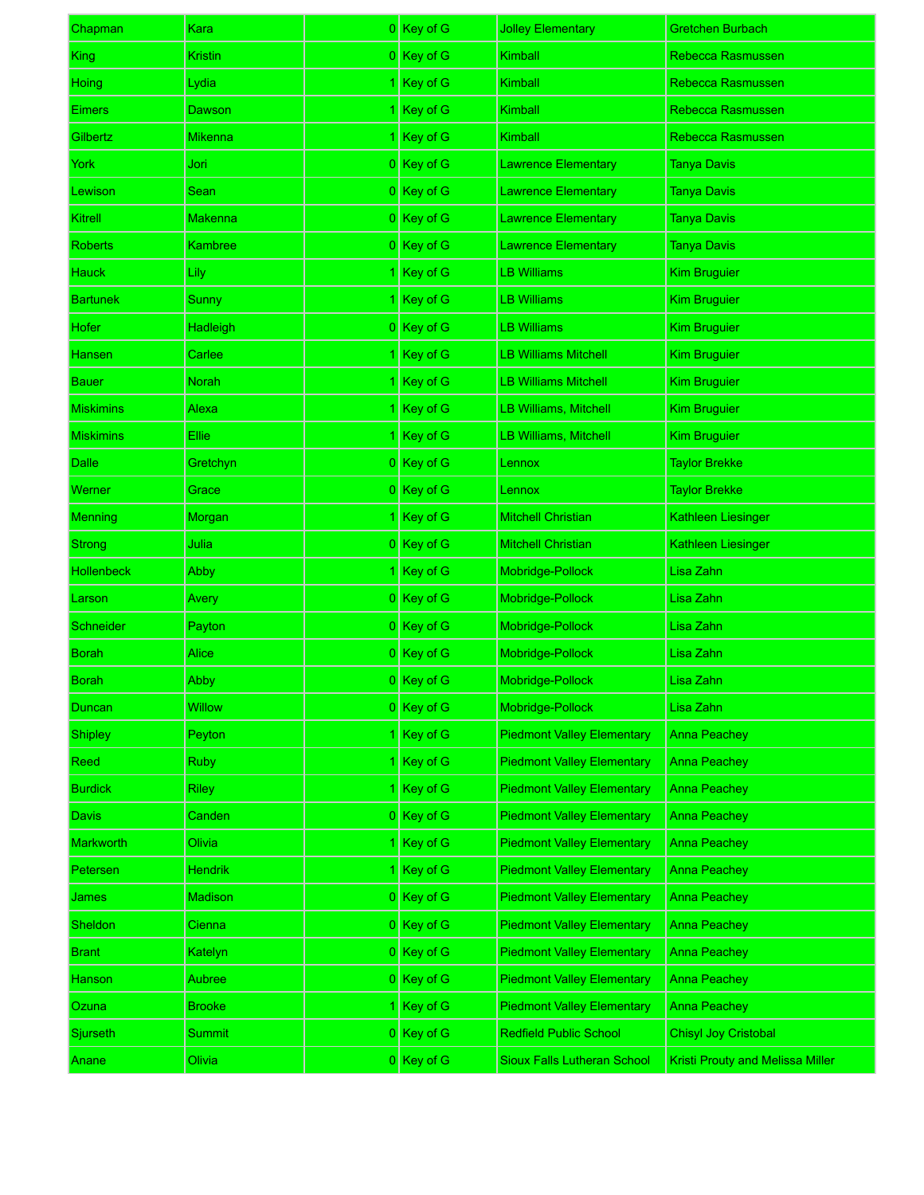| Chapman          | Kara           | 0 Key of G   | <b>Jolley Elementary</b>           | <b>Gretchen Burbach</b>                 |
|------------------|----------------|--------------|------------------------------------|-----------------------------------------|
| King             | Kristin        | 0 Key of G   | Kimball                            | Rebecca Rasmussen                       |
| Hoing            | Lydia          | 1 Key of G   | Kimball                            | Rebecca Rasmussen                       |
| Eimers           | Dawson         | 1 Key of G   | Kimball                            | Rebecca Rasmussen                       |
| Gilbertz         | Mikenna        | 1 Key of G   | Kimball                            | Rebecca Rasmussen                       |
| York             | Jori           | 0 Key of G   | <b>Lawrence Elementary</b>         | <b>Tanya Davis</b>                      |
| _ewison          | <b>Sean</b>    | 0 Key of G   | <b>Lawrence Elementary</b>         | <b>Tanya Davis</b>                      |
| Kitrell          | Makenna        | 0 Key of G   | <b>Lawrence Elementary</b>         | <b>Tanya Davis</b>                      |
| Roberts          | Kambree        | 0 Key of G   | <b>Lawrence Elementary</b>         | <b>Tanya Davis</b>                      |
| Hauck            | Lily           | 1 Key of G   | LB Williams                        | <b>Kim Bruguier</b>                     |
| Bartunek         | Sunny          | 1 Key of G   | LB Williams                        | <b>Kim Bruguier</b>                     |
| Hofer            | Hadleigh       | 0 Key of G   | LB Williams                        | <b>Kim Bruguier</b>                     |
| Hansen           | Carlee         | 1 Key of G   | <b>LB Williams Mitchell</b>        | <b>Kim Bruguier</b>                     |
| <b>Bauer</b>     | <b>Norah</b>   | 1 Key of G   | LB Williams Mitchell               | <b>Kim Bruguier</b>                     |
| Miskimins        | Alexa          | 1 Key of G   | LB Williams, Mitchell              | <b>Kim Bruguier</b>                     |
| <b>Miskimins</b> | Ellie:         | 1 Key of G   | LB Williams, Mitchell              | <b>Kim Bruguier</b>                     |
| Dalle            | Gretchyn       | 0 Key of G   | Lennox                             | <b>Taylor Brekke</b>                    |
| Werner           | Grace          | 0 Key of G   | Lennox                             | <b>Taylor Brekke</b>                    |
| Menning          | Morgan         | 1 Key of G   | <b>Mitchell Christian</b>          | Kathleen Liesinger                      |
| <b>Strong</b>    | Julia          | 0 Key of G   | <b>Mitchell Christian</b>          | Kathleen Liesinger                      |
| Hollenbeck       | Abby           | 1 Key of G   | Mobridge-Pollock                   | Lisa Zahn                               |
| Larson           | Avery          | 0 Key of G   | Mobridge-Pollock                   | Lisa Zahn                               |
| Schneider        | Payton         | 0 Key of G   | Mobridge-Pollock                   | Lisa Zahn                               |
| <b>Borah</b>     | <b>Alice</b>   | 0 Key of G   | Mobridge-Pollock                   | Lisa Zahn                               |
| Borah            | <b>Abby</b>    | 0 Key of G   | Mobridge-Pollock                   | Lisa Zahn                               |
| Duncan           | <b>Willow</b>  | 0 Key of G   | Mobridge-Pollock                   | Lisa Zahn                               |
| <b>Shipley</b>   | Peyton         | 1 Key of G   | <b>Piedmont Valley Elementary</b>  | <b>Anna Peachey</b>                     |
| Reed             | <b>Ruby</b>    | 1 Key of G   | <b>Piedmont Valley Elementary</b>  | <b>Anna Peachey</b>                     |
| <b>Burdick</b>   | <b>Riley</b>   | 1 Key of G   | <b>Piedmont Valley Elementary</b>  | <b>Anna Peachey</b>                     |
| Davis            | Canden         | $0$ Key of G | <b>Piedmont Valley Elementary</b>  | <b>Anna Peachey</b>                     |
| <b>Markworth</b> | Olivia         | 1 Key of G   | <b>Piedmont Valley Elementary</b>  | <b>Anna Peachey</b>                     |
| Petersen         | Hendrik        | 1 Key of G   | <b>Piedmont Valley Elementary</b>  | <b>Anna Peachey</b>                     |
| <b>James</b>     | <b>Madison</b> | $0$ Key of G | <b>Piedmont Valley Elementary</b>  | <b>Anna Peachey</b>                     |
| <b>Sheldon</b>   | Cienna         | $0$ Key of G | <b>Piedmont Valley Elementary</b>  | <b>Anna Peachey</b>                     |
| <b>Brant</b>     | Katelyn        | $0$ Key of G | <b>Piedmont Valley Elementary</b>  | <b>Anna Peachey</b>                     |
| Hanson           | Aubree         | $0$ Key of G | <b>Piedmont Valley Elementary</b>  | Anna Peachey                            |
| Ozuna            | <b>Brooke</b>  | 1 Key of G   | <b>Piedmont Valley Elementary</b>  | Anna Peachey                            |
| Sjurseth         | Summit         | $0$ Key of G | <b>Redfield Public School</b>      | Chisyl Joy Cristobal                    |
| <b>Anane</b>     | Olivia         | 0 Key of G   | <b>Sioux Falls Lutheran School</b> | <b>Kristi Prouty and Melissa Miller</b> |